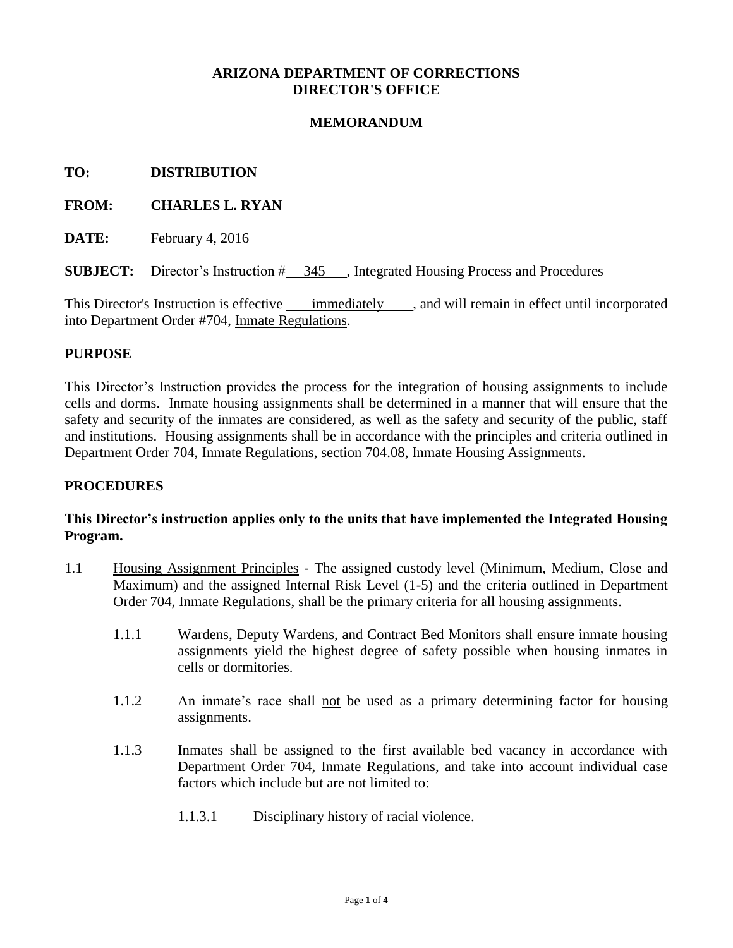# **ARIZONA DEPARTMENT OF CORRECTIONS DIRECTOR'S OFFICE**

## **MEMORANDUM**

### **TO: DISTRIBUTION**

## **FROM: CHARLES L. RYAN**

**DATE:** February 4, 2016

**SUBJECT:** Director's Instruction  $\#$  345, Integrated Housing Process and Procedures

This Director's Instruction is effective immediately , and will remain in effect until incorporated into Department Order #704, Inmate Regulations.

### **PURPOSE**

This Director's Instruction provides the process for the integration of housing assignments to include cells and dorms. Inmate housing assignments shall be determined in a manner that will ensure that the safety and security of the inmates are considered, as well as the safety and security of the public, staff and institutions. Housing assignments shall be in accordance with the principles and criteria outlined in Department Order 704, Inmate Regulations, section 704.08, Inmate Housing Assignments.

#### **PROCEDURES**

# **This Director's instruction applies only to the units that have implemented the Integrated Housing Program.**

- 1.1 Housing Assignment Principles The assigned custody level (Minimum, Medium, Close and Maximum) and the assigned Internal Risk Level (1-5) and the criteria outlined in Department Order 704, Inmate Regulations, shall be the primary criteria for all housing assignments.
	- 1.1.1 Wardens, Deputy Wardens, and Contract Bed Monitors shall ensure inmate housing assignments yield the highest degree of safety possible when housing inmates in cells or dormitories.
	- 1.1.2 An inmate's race shall not be used as a primary determining factor for housing assignments.
	- 1.1.3 Inmates shall be assigned to the first available bed vacancy in accordance with Department Order 704, Inmate Regulations, and take into account individual case factors which include but are not limited to:
		- 1.1.3.1 Disciplinary history of racial violence.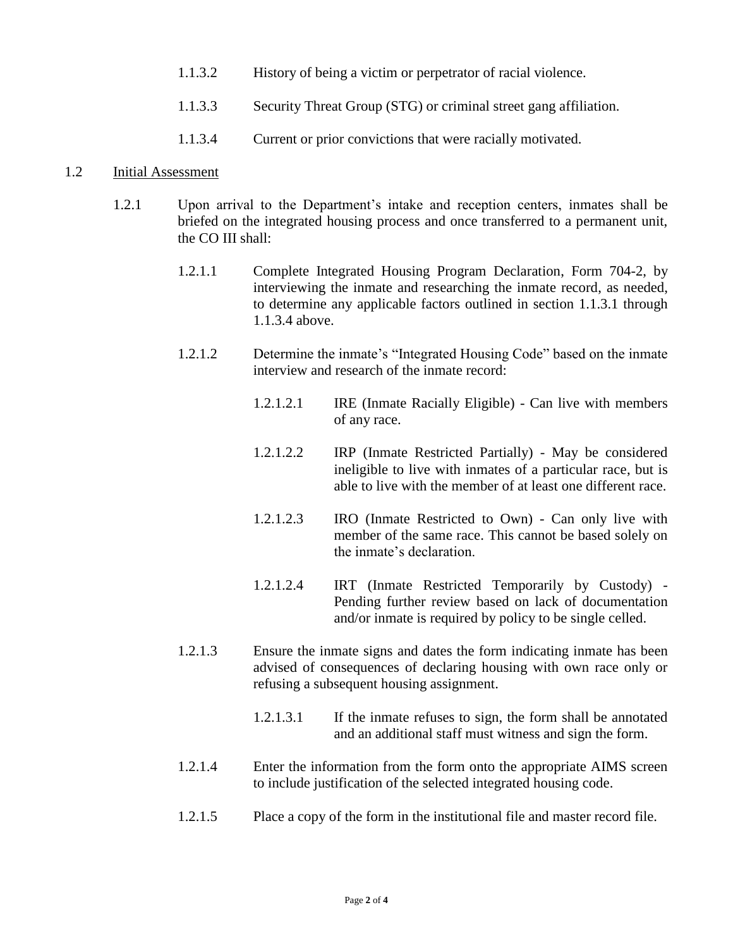- 1.1.3.2 History of being a victim or perpetrator of racial violence.
- 1.1.3.3 Security Threat Group (STG) or criminal street gang affiliation.
- 1.1.3.4 Current or prior convictions that were racially motivated.

### 1.2 Initial Assessment

- 1.2.1 Upon arrival to the Department's intake and reception centers, inmates shall be briefed on the integrated housing process and once transferred to a permanent unit, the CO III shall:
	- 1.2.1.1 Complete Integrated Housing Program Declaration, Form 704-2, by interviewing the inmate and researching the inmate record, as needed, to determine any applicable factors outlined in section 1.1.3.1 through 1.1.3.4 above.
	- 1.2.1.2 Determine the inmate's "Integrated Housing Code" based on the inmate interview and research of the inmate record:
		- 1.2.1.2.1 IRE (Inmate Racially Eligible) Can live with members of any race.
		- 1.2.1.2.2 IRP (Inmate Restricted Partially) May be considered ineligible to live with inmates of a particular race, but is able to live with the member of at least one different race.
		- 1.2.1.2.3 IRO (Inmate Restricted to Own) Can only live with member of the same race. This cannot be based solely on the inmate's declaration.
		- 1.2.1.2.4 IRT (Inmate Restricted Temporarily by Custody) Pending further review based on lack of documentation and/or inmate is required by policy to be single celled.
	- 1.2.1.3 Ensure the inmate signs and dates the form indicating inmate has been advised of consequences of declaring housing with own race only or refusing a subsequent housing assignment.
		- 1.2.1.3.1 If the inmate refuses to sign, the form shall be annotated and an additional staff must witness and sign the form.
	- 1.2.1.4 Enter the information from the form onto the appropriate AIMS screen to include justification of the selected integrated housing code.
	- 1.2.1.5 Place a copy of the form in the institutional file and master record file.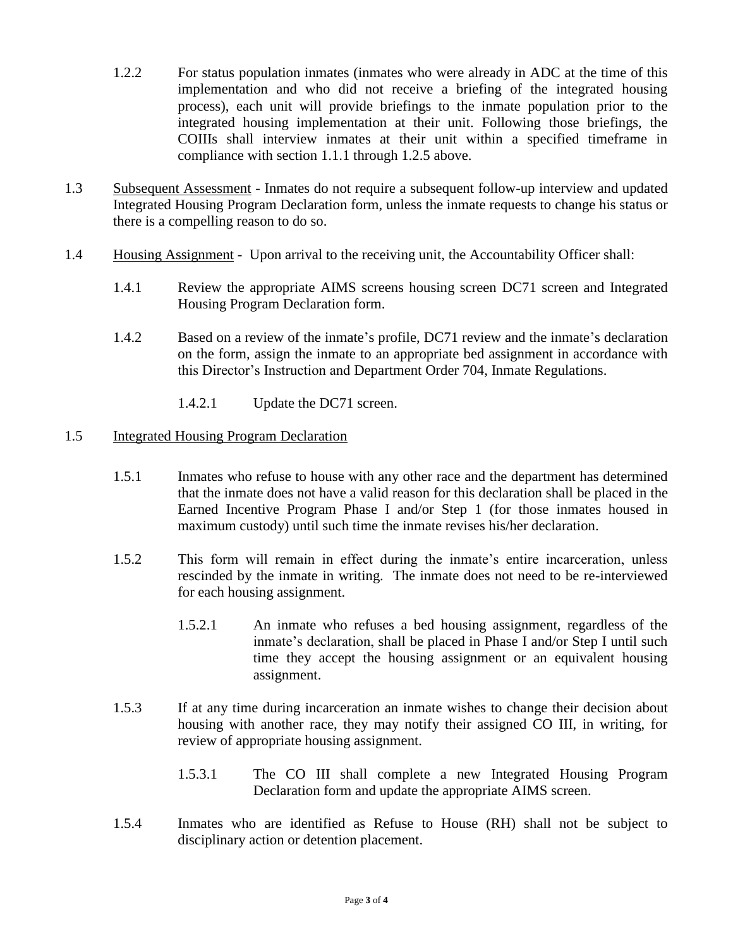- 1.2.2 For status population inmates (inmates who were already in ADC at the time of this implementation and who did not receive a briefing of the integrated housing process), each unit will provide briefings to the inmate population prior to the integrated housing implementation at their unit. Following those briefings, the COIIIs shall interview inmates at their unit within a specified timeframe in compliance with section 1.1.1 through 1.2.5 above.
- 1.3 Subsequent Assessment Inmates do not require a subsequent follow-up interview and updated Integrated Housing Program Declaration form, unless the inmate requests to change his status or there is a compelling reason to do so.
- 1.4 Housing Assignment Upon arrival to the receiving unit, the Accountability Officer shall:
	- 1.4.1 Review the appropriate AIMS screens housing screen DC71 screen and Integrated Housing Program Declaration form.
	- 1.4.2 Based on a review of the inmate's profile, DC71 review and the inmate's declaration on the form, assign the inmate to an appropriate bed assignment in accordance with this Director's Instruction and Department Order 704, Inmate Regulations.
		- 1.4.2.1 Update the DC71 screen.

## 1.5 Integrated Housing Program Declaration

- 1.5.1 Inmates who refuse to house with any other race and the department has determined that the inmate does not have a valid reason for this declaration shall be placed in the Earned Incentive Program Phase I and/or Step 1 (for those inmates housed in maximum custody) until such time the inmate revises his/her declaration.
- 1.5.2 This form will remain in effect during the inmate's entire incarceration, unless rescinded by the inmate in writing. The inmate does not need to be re-interviewed for each housing assignment.
	- 1.5.2.1 An inmate who refuses a bed housing assignment, regardless of the inmate's declaration, shall be placed in Phase I and/or Step I until such time they accept the housing assignment or an equivalent housing assignment.
- 1.5.3 If at any time during incarceration an inmate wishes to change their decision about housing with another race, they may notify their assigned CO III, in writing, for review of appropriate housing assignment.
	- 1.5.3.1 The CO III shall complete a new Integrated Housing Program Declaration form and update the appropriate AIMS screen.
- 1.5.4 Inmates who are identified as Refuse to House (RH) shall not be subject to disciplinary action or detention placement.